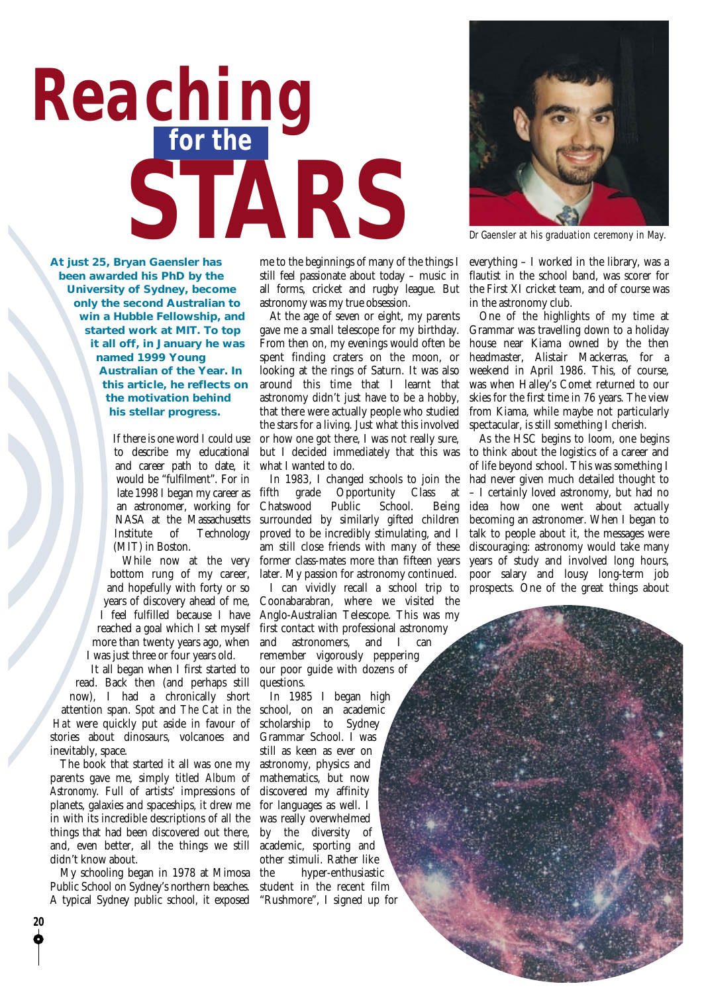## **for the** *Reaching* **STARS**



Dr Gaensler at his graduation ceremony in May.

**At just 25, Bryan Gaensler has been awarded his PhD by the University of Sydney, become only the second Australian to win a Hubble Fellowship, and started work at MIT. To top it all off, in January he was named 1999 Young Australian of the Year. In this article, he reflects on the motivation behind his stellar progress.**

> If there is one word I could use to describe my educational and career path to date, it would be "fulfilment". For in late 1998 I began my career as an astronomer, working for NASA at the Massachusetts Institute of Technology (MIT) in Boston.

While now at the very bottom rung of my career, and hopefully with forty or so years of discovery ahead of me, I feel fulfilled because I have reached a goal which I set myself more than twenty years ago, when I was just three or four years old.

It all began when I first started to read. Back then (and perhaps still now), I had a chronically short attention span. *Spot* and *The Cat in the Hat* were quickly put aside in favour of stories about dinosaurs, volcanoes and inevitably, space.

The book that started it all was one my parents gave me, simply titled *Album of Astronomy*. Full of artists' impressions of planets, galaxies and spaceships, it drew me in with its incredible descriptions of all the things that had been discovered out there, and, even better, all the things we still didn't know about.

My schooling began in 1978 at Mimosa Public School on Sydney's northern beaches. A typical Sydney public school, it exposed

**20**

me to the beginnings of many of the things I still feel passionate about today – music in all forms, cricket and rugby league. But astronomy was my true obsession.

At the age of seven or eight, my parents gave me a small telescope for my birthday. From then on, my evenings would often be spent finding craters on the moon, or looking at the rings of Saturn. It was also around this time that I learnt that astronomy didn't just have to be a hobby, that there were actually people who studied the stars for a living. Just what this involved or how one got there, I was not really sure, but I decided immediately that this was what I wanted to do.

In 1983, I changed schools to join the fifth grade Opportunity Class at Chatswood Public School. Being surrounded by similarly gifted children proved to be incredibly stimulating, and I am still close friends with many of these former class-mates more than fifteen years later. My passion for astronomy continued. I can vividly recall a school trip to Coonabarabran, where we visited the Anglo-Australian Telescope. This was my first contact with professional astronomy and astronomers, and I can remember vigorously peppering our poor guide with dozens of questions.

In 1985 I began high school, on an academic scholarship to Sydney Grammar School. I was still as keen as ever on astronomy, physics and mathematics, but now discovered my affinity for languages as well. I was really overwhelmed by the diversity of academic, sporting and other stimuli. Rather like the hyper-enthusiastic student in the recent film "Rushmore", I signed up for

everything – I worked in the library, was a flautist in the school band, was scorer for the First XI cricket team, and of course was in the astronomy club.

One of the highlights of my time at Grammar was travelling down to a holiday house near Kiama owned by the then headmaster, Alistair Mackerras, for a weekend in April 1986. This, of course, was when Halley's Comet returned to our skies for the first time in 76 years. The view from Kiama, while maybe not particularly spectacular, is still something I cherish.

As the HSC begins to loom, one begins to think about the logistics of a career and of life beyond school. This was something I had never given much detailed thought to – I certainly loved astronomy, but had no idea how one went about actually becoming an astronomer. When I began to talk to people about it, the messages were discouraging: astronomy would take many years of study and involved long hours, poor salary and lousy long-term job prospects. One of the great things about